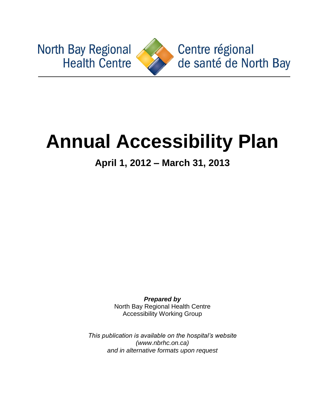**North Bay Regional Health Centre** 



Centre régional de santé de North Bay

# **Annual Accessibility Plan**

**April 1, 2012 – March 31, 2013**

*Prepared by* North Bay Regional Health Centre Accessibility Working Group

*This publication is available on the hospital's website (www.nbrhc.on.ca) and in alternative formats upon request*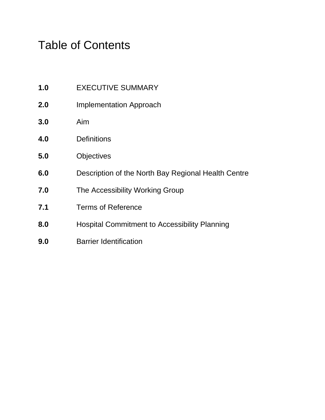# Table of Contents

- **1.0** EXECUTIVE SUMMARY
- **2.0** Implementation Approach
- **3.0** Aim
- **4.0** Definitions
- **5.0** Objectives
- **6.0** Description of the North Bay Regional Health Centre
- **7.0** The Accessibility Working Group
- **7.1** Terms of Reference
- **8.0** Hospital Commitment to Accessibility Planning
- **9.0** Barrier Identification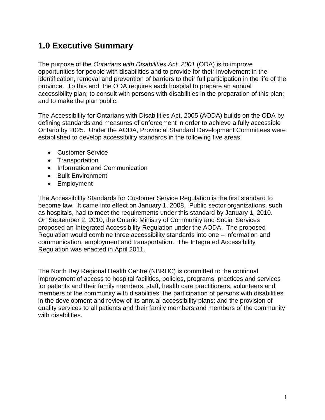# **1.0 Executive Summary**

The purpose of the *Ontarians with Disabilities Act, 2001* (ODA) is to improve opportunities for people with disabilities and to provide for their involvement in the identification, removal and prevention of barriers to their full participation in the life of the province. To this end, the ODA requires each hospital to prepare an annual accessibility plan; to consult with persons with disabilities in the preparation of this plan; and to make the plan public.

The Accessibility for Ontarians with Disabilities Act, 2005 (AODA) builds on the ODA by defining standards and measures of enforcement in order to achieve a fully accessible Ontario by 2025. Under the AODA, Provincial Standard Development Committees were established to develop accessibility standards in the following five areas:

- Customer Service
- Transportation
- Information and Communication
- Built Environment
- Employment

The Accessibility Standards for Customer Service Regulation is the first standard to become law. It came into effect on January 1, 2008. Public sector organizations, such as hospitals, had to meet the requirements under this standard by January 1, 2010. On September 2, 2010, the Ontario Ministry of Community and Social Services proposed an Integrated Accessibility Regulation under the AODA. The proposed Regulation would combine three accessibility standards into one – information and communication, employment and transportation. The Integrated Accessibility Regulation was enacted in April 2011.

The North Bay Regional Health Centre (NBRHC) is committed to the continual improvement of access to hospital facilities, policies, programs, practices and services for patients and their family members, staff, health care practitioners, volunteers and members of the community with disabilities; the participation of persons with disabilities in the development and review of its annual accessibility plans; and the provision of quality services to all patients and their family members and members of the community with disabilities.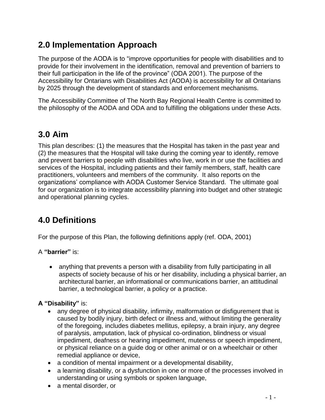# **2.0 Implementation Approach**

The purpose of the AODA is to "improve opportunities for people with disabilities and to provide for their involvement in the identification, removal and prevention of barriers to their full participation in the life of the province‖ (ODA 2001). The purpose of the Accessibility for Ontarians with Disabilities Act (AODA) is accessibility for all Ontarians by 2025 through the development of standards and enforcement mechanisms.

The Accessibility Committee of The North Bay Regional Health Centre is committed to the philosophy of the AODA and ODA and to fulfilling the obligations under these Acts.

# **3.0 Aim**

This plan describes: (1) the measures that the Hospital has taken in the past year and (2) the measures that the Hospital will take during the coming year to identify, remove and prevent barriers to people with disabilities who live, work in or use the facilities and services of the Hospital, including patients and their family members, staff, health care practitioners, volunteers and members of the community. It also reports on the organizations' compliance with AODA Customer Service Standard. The ultimate goal for our organization is to integrate accessibility planning into budget and other strategic and operational planning cycles.

# **4.0 Definitions**

For the purpose of this Plan, the following definitions apply (ref. ODA, 2001)

A **"barrier"** is:

 anything that prevents a person with a disability from fully participating in all aspects of society because of his or her disability, including a physical barrier, an architectural barrier, an informational or communications barrier, an attitudinal barrier, a technological barrier, a policy or a practice.

## **A "Disability"** is:

- any degree of physical disability, infirmity, malformation or disfigurement that is caused by bodily injury, birth defect or illness and, without limiting the generality of the foregoing, includes diabetes mellitus, epilepsy, a brain injury, any degree of paralysis, amputation, lack of physical co-ordination, blindness or visual impediment, deafness or hearing impediment, muteness or speech impediment, or physical reliance on a guide dog or other animal or on a wheelchair or other remedial appliance or device,
- a condition of mental impairment or a developmental disability,
- a learning disability, or a dysfunction in one or more of the processes involved in understanding or using symbols or spoken language,
- a mental disorder, or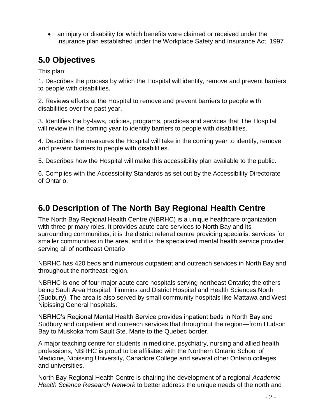an injury or disability for which benefits were claimed or received under the insurance plan established under the Workplace Safety and Insurance Act, 1997

# **5.0 Objectives**

This plan:

1. Describes the process by which the Hospital will identify, remove and prevent barriers to people with disabilities.

2. Reviews efforts at the Hospital to remove and prevent barriers to people with disabilities over the past year.

3. Identifies the by-laws, policies, programs, practices and services that The Hospital will review in the coming year to identify barriers to people with disabilities.

4. Describes the measures the Hospital will take in the coming year to identify, remove and prevent barriers to people with disabilities.

5. Describes how the Hospital will make this accessibility plan available to the public.

6. Complies with the Accessibility Standards as set out by the Accessibility Directorate of Ontario.

# **6.0 Description of The North Bay Regional Health Centre**

The North Bay Regional Health Centre (NBRHC) is a unique healthcare organization with three primary roles. It provides acute care services to North Bay and its surrounding communities, it is the district referral centre providing specialist services for smaller communities in the area, and it is the specialized mental health service provider serving all of northeast Ontario

NBRHC has 420 beds and numerous outpatient and outreach services in North Bay and throughout the northeast region.

NBRHC is one of four major acute care hospitals serving northeast Ontario; the others being Sault Area Hospital, Timmins and District Hospital and Health Sciences North (Sudbury). The area is also served by small community hospitals like Mattawa and West Nipissing General hospitals.

NBRHC's Regional Mental Health Service provides inpatient beds in North Bay and Sudbury and outpatient and outreach services that throughout the region—from Hudson Bay to Muskoka from Sault Ste. Marie to the Quebec border.

A major teaching centre for students in medicine, psychiatry, nursing and allied health professions, NBRHC is proud to be affiliated with the Northern Ontario School of Medicine, Nipissing University, Canadore College and several other Ontario colleges and universities.

North Bay Regional Health Centre is chairing the development of a regional *Academic Health Science Research Network* to better address the unique needs of the north and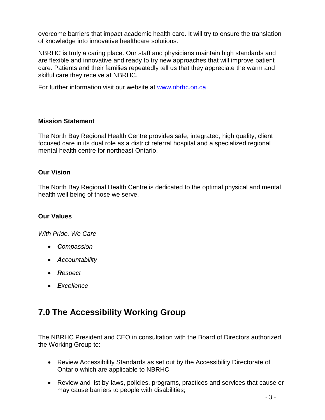overcome barriers that impact academic health care. It will try to ensure the translation of knowledge into innovative healthcare solutions.

NBRHC is truly a caring place. Our staff and physicians maintain high standards and are flexible and innovative and ready to try new approaches that will improve patient care. Patients and their families repeatedly tell us that they appreciate the warm and skilful care they receive at NBRHC.

For further information visit our website at [www.nbrhc.on.ca](http://www.nbrhc.on.ca/)

#### **Mission Statement**

The North Bay Regional Health Centre provides safe, integrated, high quality, client focused care in its dual role as a district referral hospital and a specialized regional mental health centre for northeast Ontario.

## **Our Vision**

The North Bay Regional Health Centre is dedicated to the optimal physical and mental health well being of those we serve.

#### **Our Values**

*With Pride, We Care*

- *Compassion*
- *Accountability*
- *Respect*
- *Excellence*

# **7.0 The Accessibility Working Group**

The NBRHC President and CEO in consultation with the Board of Directors authorized the Working Group to:

- Review Accessibility Standards as set out by the Accessibility Directorate of Ontario which are applicable to NBRHC
- Review and list by-laws, policies, programs, practices and services that cause or may cause barriers to people with disabilities;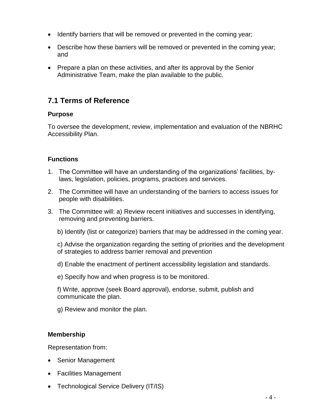- Identify barriers that will be removed or prevented in the coming year;
- Describe how these barriers will be removed or prevented in the coming year; and
- Prepare a plan on these activities, and after its approval by the Senior Administrative Team, make the plan available to the public.

## **7.1 Terms of Reference**

#### **Purpose**

To oversee the development, review, implementation and evaluation of the NBRHC Accessibility Plan.

## **Functions**

- 1. The Committee will have an understanding of the organizations' facilities, bylaws, legislation, policies, programs, practices and services.
- 2. The Committee will have an understanding of the barriers to access issues for people with disabilities.
- 3. The Committee will: a) Review recent initiatives and successes in identifying, removing and preventing barriers.
	- b) Identify (list or categorize) barriers that may be addressed in the coming year.
	- c) Advise the organization regarding the setting of priorities and the development of strategies to address barrier removal and prevention
	- d) Enable the enactment of pertinent accessibility legislation and standards.
	- e) Specify how and when progress is to be monitored.
	- f) Write, approve (seek Board approval), endorse, submit, publish and communicate the plan.
	- g) Review and monitor the plan.

## **Membership**

Representation from:

- Senior Management
- Facilities Management
- Technological Service Delivery (IT/IS)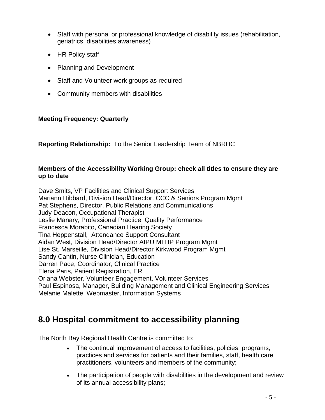- Staff with personal or professional knowledge of disability issues (rehabilitation, geriatrics, disabilities awareness)
- HR Policy staff
- Planning and Development
- Staff and Volunteer work groups as required
- Community members with disabilities

## **Meeting Frequency: Quarterly**

**Reporting Relationship:** To the Senior Leadership Team of NBRHC

#### **Members of the Accessibility Working Group: check all titles to ensure they are up to date**

Dave Smits, VP Facilities and Clinical Support Services Mariann Hibbard, Division Head/Director, CCC & Seniors Program Mgmt Pat Stephens, Director, Public Relations and Communications Judy Deacon, Occupational Therapist Leslie Manary, Professional Practice, Quality Performance Francesca Morabito, Canadian Hearing Society Tina Heppenstall, Attendance Support Consultant Aidan West, Division Head/Director AIPU MH IP Program Mgmt Lise St. Marseille, Division Head/Director Kirkwood Program Mgmt Sandy Cantin, Nurse Clinician, Education Darren Pace, Coordinator, Clinical Practice Elena Paris, Patient Registration, ER Oriana Webster, Volunteer Engagement, Volunteer Services Paul Espinosa, Manager, Building Management and Clinical Engineering Services Melanie Malette, Webmaster, Information Systems

# **8.0 Hospital commitment to accessibility planning**

The North Bay Regional Health Centre is committed to:

- The continual improvement of access to facilities, policies, programs, practices and services for patients and their families, staff, health care practitioners, volunteers and members of the community;
- The participation of people with disabilities in the development and review of its annual accessibility plans;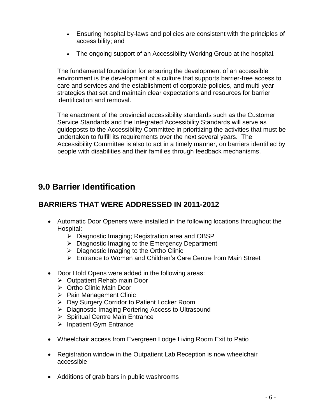- Ensuring hospital by-laws and policies are consistent with the principles of accessibility; and
- The ongoing support of an Accessibility Working Group at the hospital*.*

The fundamental foundation for ensuring the development of an accessible environment is the development of a culture that supports barrier-free access to care and services and the establishment of corporate policies, and multi-year strategies that set and maintain clear expectations and resources for barrier identification and removal.

The enactment of the provincial accessibility standards such as the Customer Service Standards and the Integrated Accessibility Standards will serve as guideposts to the Accessibility Committee in prioritizing the activities that must be undertaken to fulfill its requirements over the next several years. The Accessibility Committee is also to act in a timely manner, on barriers identified by people with disabilities and their families through feedback mechanisms.

## **9.0 Barrier Identification**

## **BARRIERS THAT WERE ADDRESSED IN 2011-2012**

- Automatic Door Openers were installed in the following locations throughout the Hospital:
	- Diagnostic Imaging; Registration area and OBSP
	- $\triangleright$  Diagnostic Imaging to the Emergency Department
	- $\triangleright$  Diagnostic Imaging to the Ortho Clinic
	- Entrance to Women and Children's Care Centre from Main Street
- Door Hold Opens were added in the following areas:
	- Outpatient Rehab main Door
	- **▶ Ortho Clinic Main Door**
	- $\triangleright$  Pain Management Clinic
	- Day Surgery Corridor to Patient Locker Room
	- ▶ Diagnostic Imaging Portering Access to Ultrasound
	- $\triangleright$  Spiritual Centre Main Entrance
	- $\triangleright$  Inpatient Gym Entrance
- Wheelchair access from Evergreen Lodge Living Room Exit to Patio
- Registration window in the Outpatient Lab Reception is now wheelchair accessible
- Additions of grab bars in public washrooms